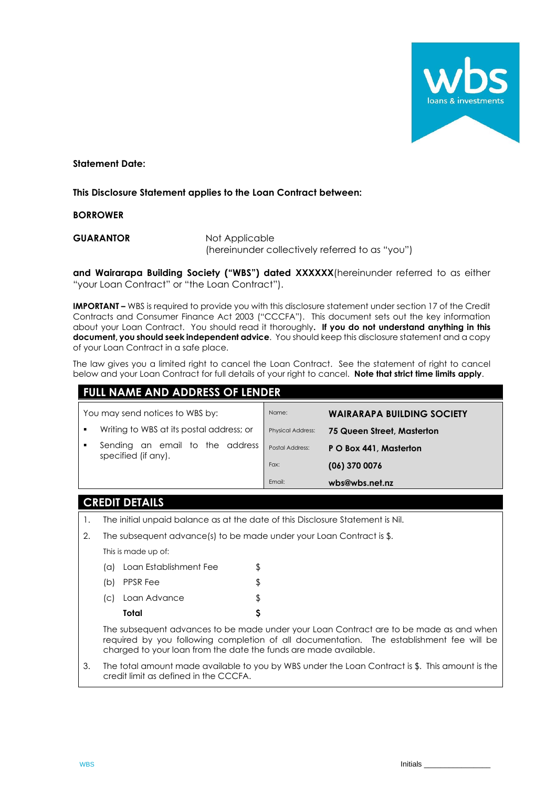

**Statement Date:**

### **This Disclosure Statement applies to the Loan Contract between:**

**BORROWER**

**GUARANTOR** Not Applicable (hereinunder collectively referred to as "you")

**and Wairarapa Building Society ("WBS") dated XXXXXX**(hereinunder referred to as either "your Loan Contract" or "the Loan Contract").

**IMPORTANT –** WBS is required to provide you with this disclosure statement under section 17 of the Credit Contracts and Consumer Finance Act 2003 ("CCCFA"). This document sets out the key information about your Loan Contract. You should read it thoroughly**. If you do not understand anything in this document, you should seek independent advice**. You should keep this disclosure statement and a copy of your Loan Contract in a safe place.

The law gives you a limited right to cancel the Loan Contract. See the statement of right to cancel below and your Loan Contract for full details of your right to cancel. **Note that strict time limits apply**.

| <b>FULL NAME AND ADDRESS OF LENDER</b>                         |                          |                                   |
|----------------------------------------------------------------|--------------------------|-----------------------------------|
| You may send notices to WBS by:                                | Name:                    | <b>WAIRARAPA BUILDING SOCIETY</b> |
| Writing to WBS at its postal address; or                       | <b>Physical Address:</b> | 75 Queen Street, Masterton        |
| an email to the address<br>Sending<br>٠<br>specified (if any). | Postal Address:          | P O Box 441, Masterton            |
|                                                                | Fax:                     | $(06)$ 370 0076                   |
|                                                                | Email:                   | wbs@wbs.net.nz                    |

### **CREDIT DETAILS**

- 1. The initial unpaid balance as at the date of this Disclosure Statement is Nil.
- 2. The subsequent advance(s) to be made under your Loan Contract is \$.

This is made up of:

| Total                      |    |
|----------------------------|----|
| (c) Loan Advance           |    |
| (b) PPSR Fee               | \$ |
| (a) Loan Establishment Fee |    |

The subsequent advances to be made under your Loan Contract are to be made as and when required by you following completion of all documentation. The establishment fee will be charged to your loan from the date the funds are made available.

3. The total amount made available to you by WBS under the Loan Contract is \$. This amount is the credit limit as defined in the CCCFA.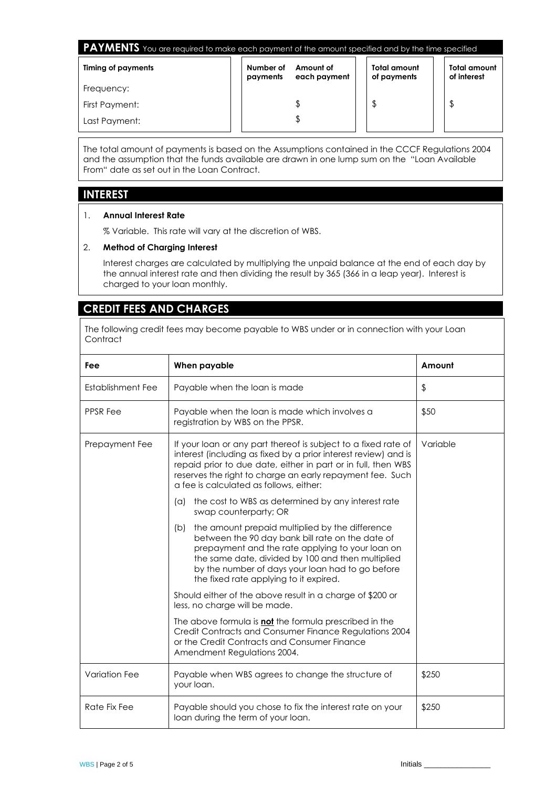| <b>PAYMENTS</b> You are required to make each payment of the amount specified and by the time specified |                       |                           |                             |                                    |
|---------------------------------------------------------------------------------------------------------|-----------------------|---------------------------|-----------------------------|------------------------------------|
| Timing of payments                                                                                      | Number of<br>payments | Amount of<br>each payment | Total amount<br>of payments | <b>Total amount</b><br>of interest |
| Frequency:                                                                                              |                       |                           |                             |                                    |
| First Payment:                                                                                          |                       |                           |                             | \$                                 |
| Last Payment:                                                                                           |                       |                           |                             |                                    |

The total amount of payments is based on the Assumptions contained in the CCCF Regulations 2004 and the assumption that the funds available are drawn in one lump sum on the "Loan Available From" date as set out in the Loan Contract.

### **INTEREST**

### 1. **Annual Interest Rate**

% Variable. This rate will vary at the discretion of WBS.

### 2. **Method of Charging Interest**

Interest charges are calculated by multiplying the unpaid balance at the end of each day by the annual interest rate and then dividing the result by 365 (366 in a leap year). Interest is charged to your loan monthly.

# **CREDIT FEES AND CHARGES**

The following credit fees may become payable to WBS under or in connection with your Loan **Contract** 

| Fee                  | When payable                                                                                                                                                                                                                                                                                                      | Amount                  |
|----------------------|-------------------------------------------------------------------------------------------------------------------------------------------------------------------------------------------------------------------------------------------------------------------------------------------------------------------|-------------------------|
| Establishment Fee    | Payable when the loan is made                                                                                                                                                                                                                                                                                     | $\sqrt[6]{\frac{1}{2}}$ |
| <b>PPSR Fee</b>      | Payable when the loan is made which involves a<br>registration by WBS on the PPSR.                                                                                                                                                                                                                                | \$50                    |
| Prepayment Fee       | If your loan or any part thereof is subject to a fixed rate of<br>interest (including as fixed by a prior interest review) and is<br>repaid prior to due date, either in part or in full, then WBS<br>reserves the right to charge an early repayment fee. Such<br>a fee is calculated as follows, either:        | Variable                |
|                      | the cost to WBS as determined by any interest rate<br>(a)<br>swap counterparty; OR                                                                                                                                                                                                                                |                         |
|                      | the amount prepaid multiplied by the difference<br>(b)<br>between the 90 day bank bill rate on the date of<br>prepayment and the rate applying to your loan on<br>the same date, divided by 100 and then multiplied<br>by the number of days your loan had to go before<br>the fixed rate applying to it expired. |                         |
|                      | Should either of the above result in a charge of \$200 or<br>less, no charge will be made.                                                                                                                                                                                                                        |                         |
|                      | The above formula is not the formula prescribed in the<br>Credit Contracts and Consumer Finance Regulations 2004<br>or the Credit Contracts and Consumer Finance<br>Amendment Regulations 2004.                                                                                                                   |                         |
| <b>Variation Fee</b> | Payable when WBS agrees to change the structure of<br>your loan.                                                                                                                                                                                                                                                  | \$250                   |
| Rate Fix Fee         | Payable should you chose to fix the interest rate on your<br>loan during the term of your loan.                                                                                                                                                                                                                   | \$250                   |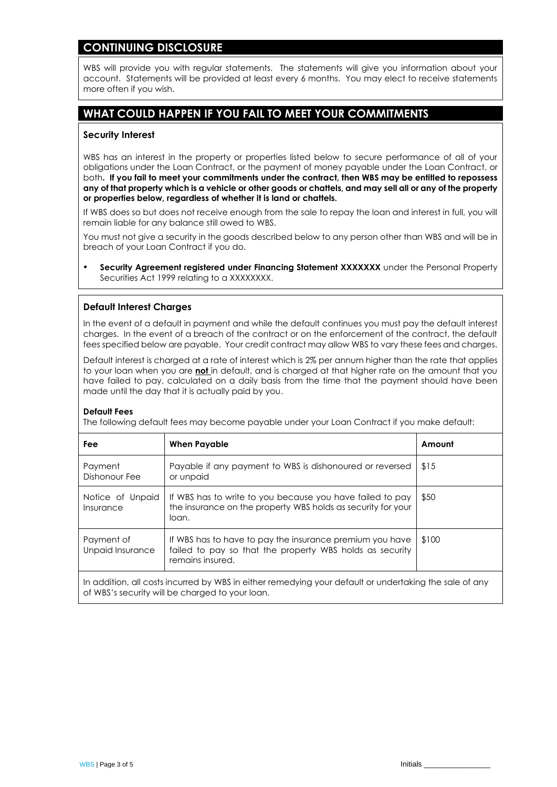## **CONTINUING DISCLOSURE**

WBS will provide you with regular statements. The statements will give you information about your account. Statements will be provided at least every 6 months. You may elect to receive statements more often if you wish.

# **WHAT COULD HAPPEN IF YOU FAIL TO MEET YOUR COMMITMENTS**

#### **Security Interest**

WBS has an interest in the property or properties listed below to secure performance of all of your obligations under the Loan Contract, or the payment of money payable under the Loan Contract, or both**. If you fail to meet your commitments under the contract, then WBS may be entitled to repossess any of that property which is a vehicle or other goods or chattels, and may sell all or any of the property or properties below, regardless of whether it is land or chattels.** 

If WBS does so but does not receive enough from the sale to repay the loan and interest in full, you will remain liable for any balance still owed to WBS.

You must not give a security in the goods described below to any person other than WBS and will be in breach of your Loan Contract if you do.

**Security Agreement registered under Financing Statement XXXXXXX** under the Personal Property Securities Act 1999 relating to a XXXXXXXX.

### **Default Interest Charges**

In the event of a default in payment and while the default continues you must pay the default interest charges. In the event of a breach of the contract or on the enforcement of the contract, the default fees specified below are payable. Your credit contract may allow WBS to vary these fees and charges.

Default interest is charged at a rate of interest which is 2% per annum higher than the rate that applies to your loan when you are **not** in default, and is charged at that higher rate on the amount that you have failed to pay, calculated on a daily basis from the time that the payment should have been made until the day that it is actually paid by you.

#### **Default Fees**

The following default fees may become payable under your Loan Contract if you make default:

| Fee                            | <b>When Payable</b>                                                                                                                      | Amount |
|--------------------------------|------------------------------------------------------------------------------------------------------------------------------------------|--------|
| Payment<br>Dishonour Fee       | Payable if any payment to WBS is dishonoured or reversed<br>or unpaid                                                                    | \$15   |
| Notice of Unpaid<br>Insurance  | If WBS has to write to you because you have failed to pay<br>the insurance on the property WBS holds as security for your<br>loan.       | \$50   |
| Payment of<br>Unpaid Insurance | If WBS has to have to pay the insurance premium you have<br>failed to pay so that the property WBS holds as security<br>remains insured. | \$100  |
|                                |                                                                                                                                          |        |

In addition, all costs incurred by WBS in either remedying your default or undertaking the sale of any of WBS's security will be charged to your loan.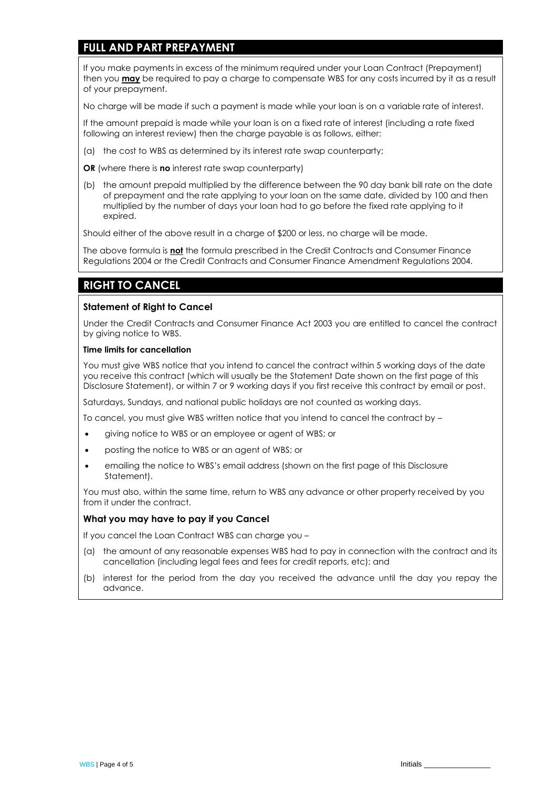## **FULL AND PART PREPAYMENT**

If you make payments in excess of the minimum required under your Loan Contract (Prepayment) then you **may** be required to pay a charge to compensate WBS for any costs incurred by it as a result of your prepayment.

No charge will be made if such a payment is made while your loan is on a variable rate of interest.

If the amount prepaid is made while your loan is on a fixed rate of interest (including a rate fixed following an interest review) then the charge payable is as follows, either:

(a) the cost to WBS as determined by its interest rate swap counterparty;

**OR** (where there is **no** interest rate swap counterparty)

(b) the amount prepaid multiplied by the difference between the 90 day bank bill rate on the date of prepayment and the rate applying to your loan on the same date, divided by 100 and then multiplied by the number of days your loan had to go before the fixed rate applying to it expired.

Should either of the above result in a charge of \$200 or less, no charge will be made.

The above formula is **not** the formula prescribed in the Credit Contracts and Consumer Finance Regulations 2004 or the Credit Contracts and Consumer Finance Amendment Regulations 2004.

# **RIGHT TO CANCEL**

### **Statement of Right to Cancel**

Under the Credit Contracts and Consumer Finance Act 2003 you are entitled to cancel the contract by giving notice to WBS.

#### **Time limits for cancellation**

You must give WBS notice that you intend to cancel the contract within 5 working days of the date you receive this contract (which will usually be the Statement Date shown on the first page of this Disclosure Statement), or within 7 or 9 working days if you first receive this contract by email or post.

Saturdays, Sundays, and national public holidays are not counted as working days.

To cancel, you must give WBS written notice that you intend to cancel the contract by –

- giving notice to WBS or an employee or agent of WBS; or
- posting the notice to WBS or an agent of WBS; or
- emailing the notice to WBS's email address (shown on the first page of this Disclosure Statement).

You must also, within the same time, return to WBS any advance or other property received by you from it under the contract.

### **What you may have to pay if you Cancel**

If you cancel the Loan Contract WBS can charge you –

- (a) the amount of any reasonable expenses WBS had to pay in connection with the contract and its cancellation (including legal fees and fees for credit reports, etc); and
- (b) interest for the period from the day you received the advance until the day you repay the advance.